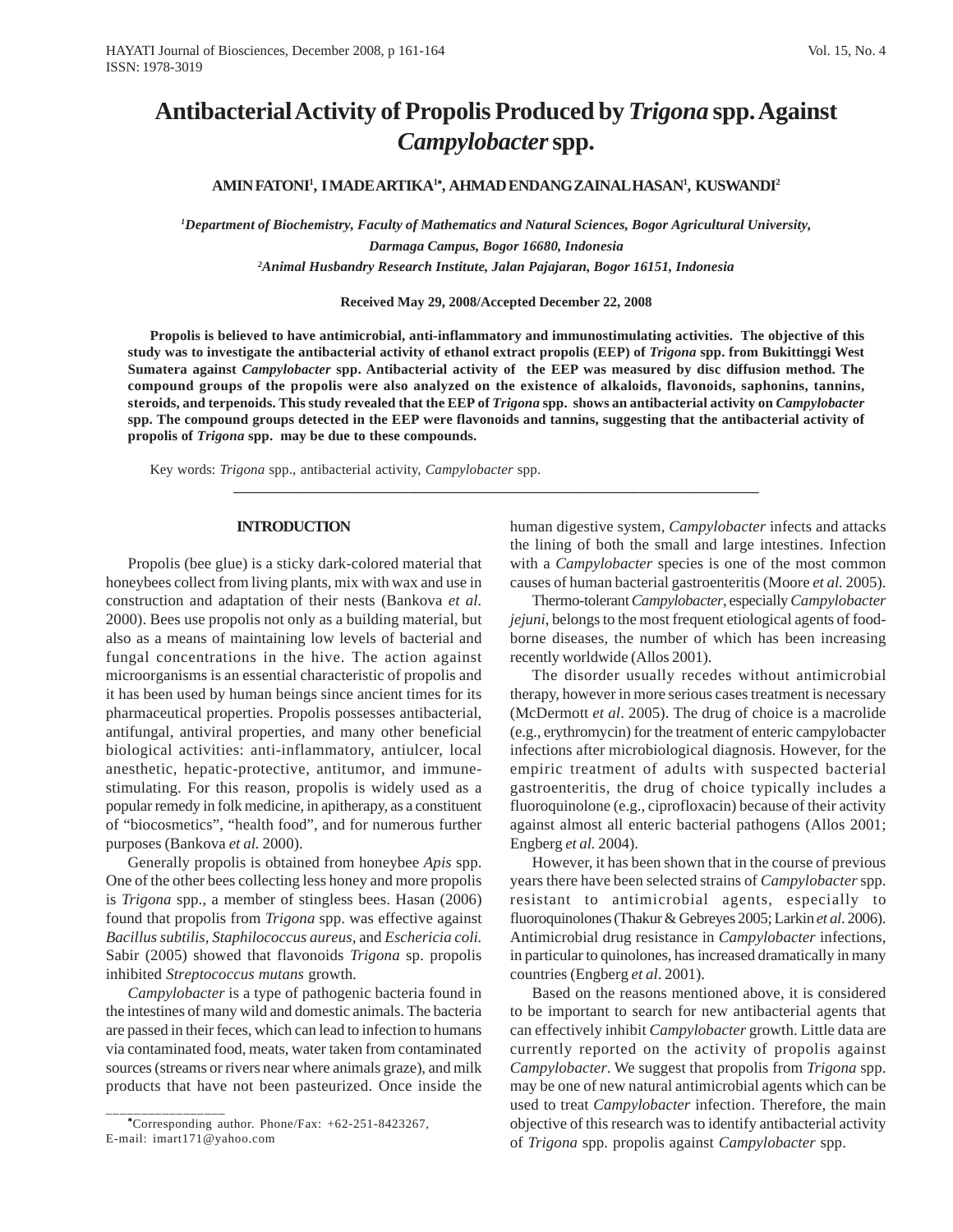# **Antibacterial Activity of Propolis Produced by** *Trigona* **spp. Against** *Campylobacter* **spp.**

## **AMIN FATONI1 , I MADE ARTIKA1**<sup>∗</sup> **, AHMAD ENDANG ZAINAL HASAN1 , KUSWANDI2**

*1 Department of Biochemistry, Faculty of Mathematics and Natural Sciences, Bogor Agricultural University, Darmaga Campus, Bogor 16680, Indonesia 2 Animal Husbandry Research Institute, Jalan Pajajaran, Bogor 16151, Indonesia*

**Received May 29, 2008/Accepted December 22, 2008**

**Propolis is believed to have antimicrobial, anti-inflammatory and immunostimulating activities. The objective of this study was to investigate the antibacterial activity of ethanol extract propolis (EEP) of** *Trigona* **spp. from Bukittinggi West Sumatera against** *Campylobacter* **spp. Antibacterial activity of the EEP was measured by disc diffusion method. The compound groups of the propolis were also analyzed on the existence of alkaloids, flavonoids, saphonins, tannins, steroids, and terpenoids. This study revealed that the EEP of** *Trigona* **spp. shows an antibacterial activity on** *Campylobacter* **spp. The compound groups detected in the EEP were flavonoids and tannins, suggesting that the antibacterial activity of propolis of** *Trigona* **spp. may be due to these compounds.**

**\_\_\_\_\_\_\_\_\_\_\_\_\_\_\_\_\_\_\_\_\_\_\_\_\_\_\_\_\_\_\_\_\_\_\_\_\_\_\_\_\_\_\_\_\_\_\_\_\_\_\_\_\_\_\_\_\_\_\_\_\_\_\_\_\_\_\_\_\_\_\_\_\_\_\_**

Key words: *Trigona* spp., antibacterial activity, *Campylobacter* spp.

#### **INTRODUCTION**

Propolis (bee glue) is a sticky dark-colored material that honeybees collect from living plants, mix with wax and use in construction and adaptation of their nests (Bankova *et al.* 2000). Bees use propolis not only as a building material, but also as a means of maintaining low levels of bacterial and fungal concentrations in the hive. The action against microorganisms is an essential characteristic of propolis and it has been used by human beings since ancient times for its pharmaceutical properties. Propolis possesses antibacterial, antifungal, antiviral properties, and many other beneficial biological activities: anti-inflammatory, antiulcer, local anesthetic, hepatic-protective, antitumor, and immunestimulating. For this reason, propolis is widely used as a popular remedy in folk medicine, in apitherapy, as a constituent of "biocosmetics", "health food", and for numerous further purposes (Bankova *et al.* 2000).

Generally propolis is obtained from honeybee *Apis* spp. One of the other bees collecting less honey and more propolis is *Trigona* spp., a member of stingless bees. Hasan (2006) found that propolis from *Trigona* spp. was effective against *Bacillus subtilis, Staphilococcus aureus,* and *Eschericia coli.* Sabir (2005) showed that flavonoids *Trigona* sp. propolis inhibited *Streptococcus mutans* growth*.*

*Campylobacter* is a type of pathogenic bacteria found in the intestines of many wild and domestic animals. The bacteria are passed in their feces, which can lead to infection to humans via contaminated food, meats, water taken from contaminated sources (streams or rivers near where animals graze), and milk products that have not been pasteurized. Once inside the human digestive system, *Campylobacter* infects and attacks the lining of both the small and large intestines. Infection with a *Campylobacter* species is one of the most common causes of human bacterial gastroenteritis (Moore *et al.* 2005).

Thermo-tolerant *Campylobacter*, especially *Campylobacter jejuni*, belongs to the most frequent etiological agents of foodborne diseases, the number of which has been increasing recently worldwide (Allos 2001).

The disorder usually recedes without antimicrobial therapy, however in more serious cases treatment is necessary (McDermott *et al*. 2005). The drug of choice is a macrolide (e.g., erythromycin) for the treatment of enteric campylobacter infections after microbiological diagnosis. However, for the empiric treatment of adults with suspected bacterial gastroenteritis, the drug of choice typically includes a fluoroquinolone (e.g., ciprofloxacin) because of their activity against almost all enteric bacterial pathogens (Allos 2001; Engberg *et al.* 2004).

However, it has been shown that in the course of previous years there have been selected strains of *Campylobacter* spp. resistant to antimicrobial agents*,* especially to fluoroquinolones (Thakur & Gebreyes 2005; Larkin *et al*. 2006). Antimicrobial drug resistance in *Campylobacter* infections, in particular to quinolones, has increased dramatically in many countries (Engberg *et al*. 2001).

Based on the reasons mentioned above, it is considered to be important to search for new antibacterial agents that can effectively inhibit *Campylobacter* growth. Little data are currently reported on the activity of propolis against *Campylobacter*. We suggest that propolis from *Trigona* spp. may be one of new natural antimicrobial agents which can be used to treat *Campylobacter* infection. Therefore, the main objective of this research was to identify antibacterial activity of *Trigona* spp. propolis against *Campylobacter* spp.

\_\_\_\_\_\_\_\_\_\_\_\_\_\_\_\_\_ <sup>∗</sup> Corresponding author. Phone/Fax: +62-251-8423267, E-mail: imart171@yahoo.com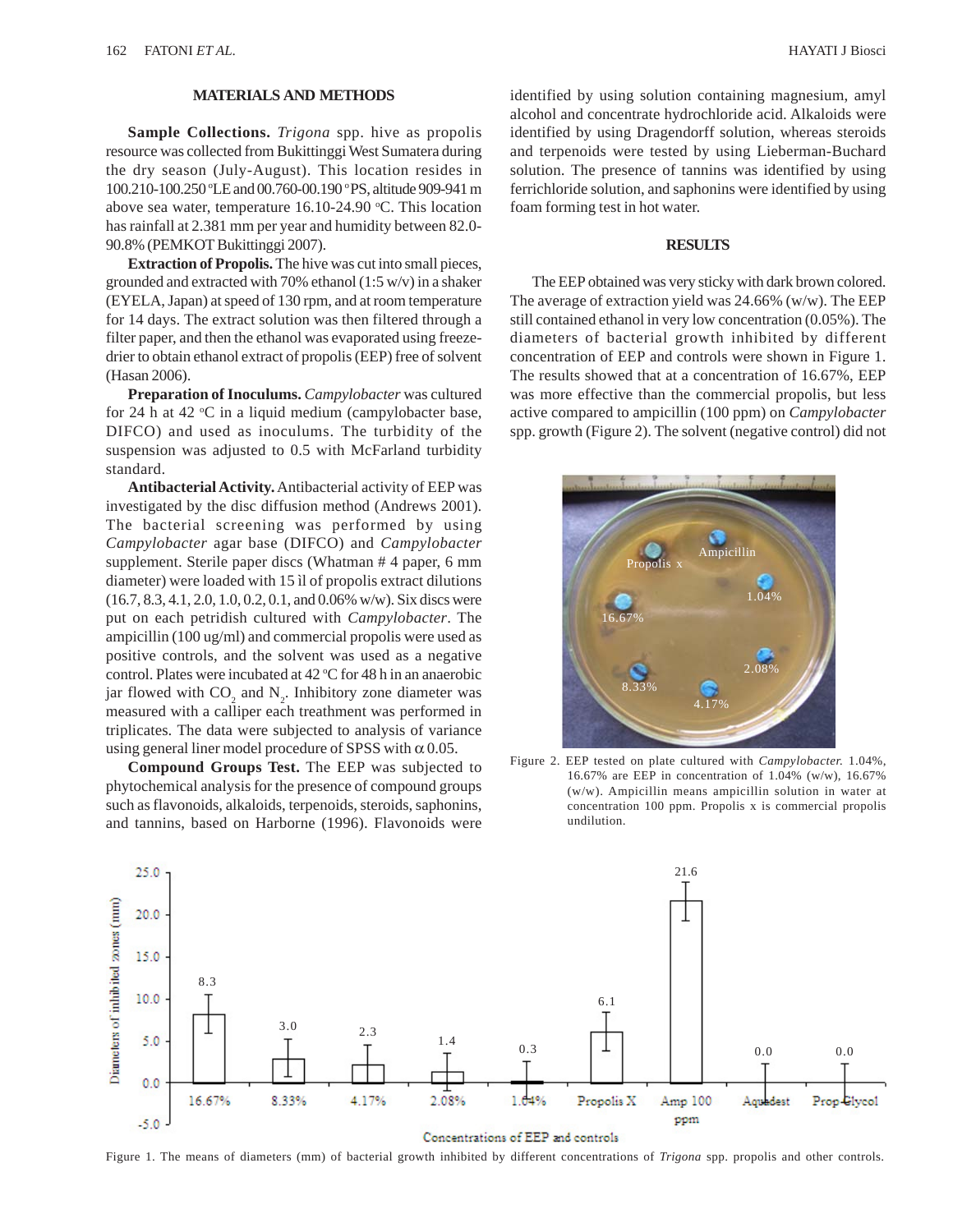# **MATERIALS AND METHODS**

**Sample Collections.** *Trigona* spp. hive as propolis resource was collected from Bukittinggi West Sumatera during the dry season (July-August). This location resides in 100.210-100.250 °LE and 00.760-00.190 °PS, altitude 909-941 m above sea water, temperature 16.10-24.90 °C. This location has rainfall at 2.381 mm per year and humidity between 82.0- 90.8% (PEMKOT Bukittinggi 2007).

**Extraction of Propolis.** The hive was cut into small pieces, grounded and extracted with 70% ethanol (1:5 w/v) in a shaker (EYELA, Japan) at speed of 130 rpm, and at room temperature for 14 days. The extract solution was then filtered through a filter paper, and then the ethanol was evaporated using freezedrier to obtain ethanol extract of propolis (EEP) free of solvent (Hasan 2006).

**Preparation of Inoculums.** *Campylobacter* was cultured for 24 h at 42  $\mathrm{C}$  in a liquid medium (campylobacter base, DIFCO) and used as inoculums. The turbidity of the suspension was adjusted to 0.5 with McFarland turbidity standard.

**Antibacterial Activity.** Antibacterial activity of EEP was investigated by the disc diffusion method (Andrews 2001). The bacterial screening was performed by using *Campylobacter* agar base (DIFCO) and *Campylobacter* supplement. Sterile paper discs (Whatman # 4 paper, 6 mm diameter) were loaded with 15 ìl of propolis extract dilutions (16.7, 8.3, 4.1, 2.0, 1.0, 0.2, 0.1, and 0.06% w/w). Six discs were put on each petridish cultured with *Campylobacter*. The ampicillin (100 ug/ml) and commercial propolis were used as positive controls, and the solvent was used as a negative control. Plates were incubated at  $42 \degree C$  for  $48$  h in an anaerobic jar flowed with  $CO_2$  and  $N_2$ . Inhibitory zone diameter was measured with a calliper each treathment was performed in triplicates. The data were subjected to analysis of variance using general liner model procedure of SPSS with  $\alpha$  0.05.

**Compound Groups Test.** The EEP was subjected to phytochemical analysis for the presence of compound groups such as flavonoids, alkaloids, terpenoids, steroids, saphonins, and tannins, based on Harborne (1996). Flavonoids were identified by using solution containing magnesium, amyl alcohol and concentrate hydrochloride acid. Alkaloids were identified by using Dragendorff solution, whereas steroids and terpenoids were tested by using Lieberman-Buchard solution. The presence of tannins was identified by using ferrichloride solution, and saphonins were identified by using foam forming test in hot water.

#### **RESULTS**

The EEP obtained was very sticky with dark brown colored. The average of extraction yield was 24.66% (w/w). The EEP still contained ethanol in very low concentration (0.05%). The diameters of bacterial growth inhibited by different concentration of EEP and controls were shown in Figure 1. The results showed that at a concentration of 16.67%, EEP was more effective than the commercial propolis, but less active compared to ampicillin (100 ppm) on *Campylobacter* spp. growth (Figure 2). The solvent (negative control) did not



Figure 2. EEP tested on plate cultured with *Campylobacter.* 1.04%, 16.67% are EEP in concentration of 1.04% (w/w), 16.67% (w/w). Ampicillin means ampicillin solution in water at concentration 100 ppm. Propolis x is commercial propolis undilution.



Concentrations of EEP and controls

Figure 1. The means of diameters (mm) of bacterial growth inhibited by different concentrations of *Trigona* spp. propolis and other controls.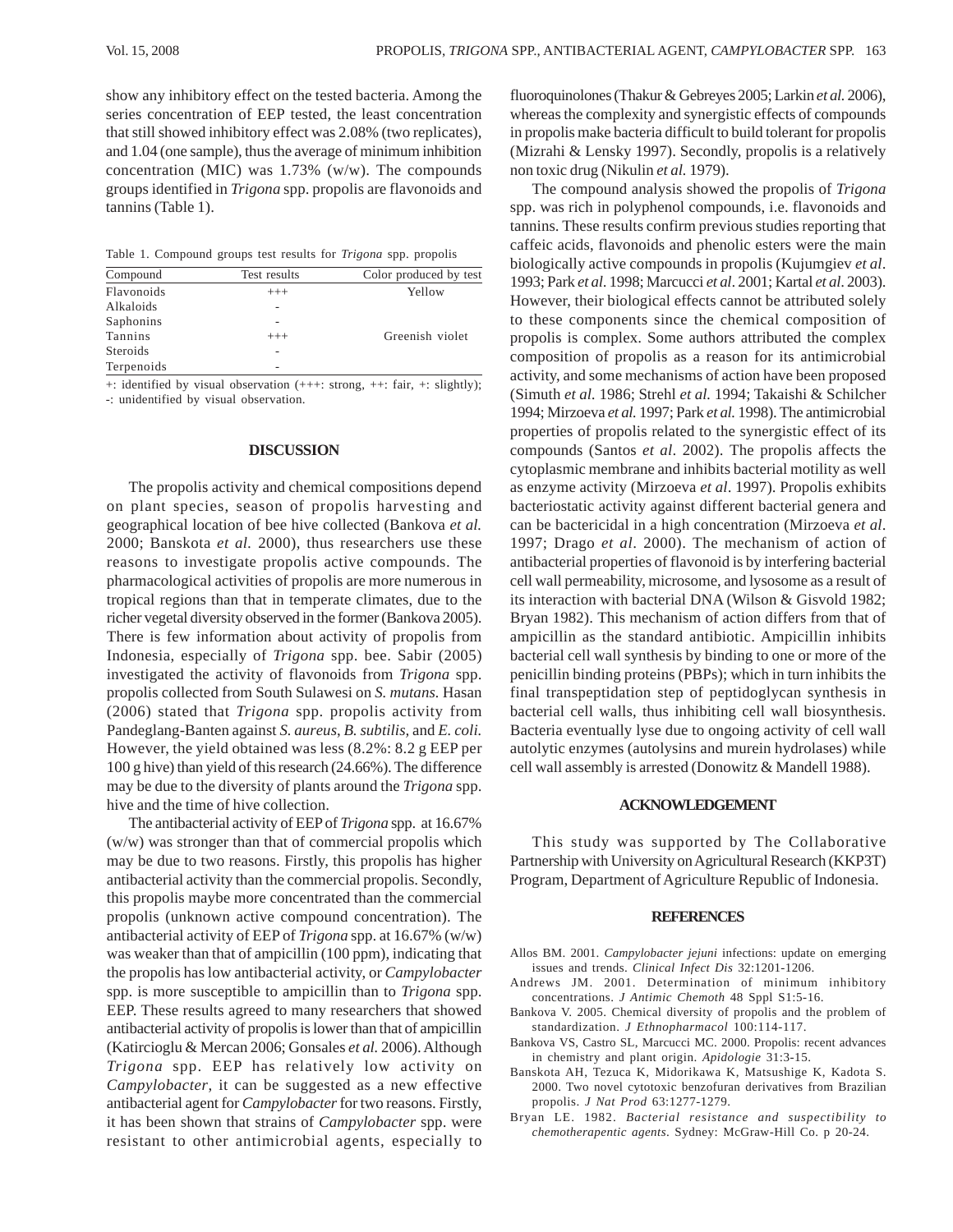show any inhibitory effect on the tested bacteria. Among the series concentration of EEP tested, the least concentration that still showed inhibitory effect was 2.08% (two replicates), and 1.04 (one sample), thus the average of minimum inhibition concentration (MIC) was 1.73% (w/w). The compounds groups identified in *Trigona* spp. propolis are flavonoids and tannins (Table 1).

Table 1. Compound groups test results for *Trigona* spp. propolis

| Compound        | Test results | Color produced by test |
|-----------------|--------------|------------------------|
| Flavonoids      | $^{+++}$     | Yellow                 |
| Alkaloids       |              |                        |
| Saphonins       | ۰            |                        |
| Tannins         | $^{+++}$     | Greenish violet        |
| <b>Steroids</b> |              |                        |
| Terpenoids      | ۰            |                        |
|                 |              |                        |

+: identified by visual observation (+++: strong, ++: fair, +: slightly); -: unidentified by visual observation.

#### **DISCUSSION**

The propolis activity and chemical compositions depend on plant species, season of propolis harvesting and geographical location of bee hive collected (Bankova *et al.* 2000; Banskota *et al.* 2000), thus researchers use these reasons to investigate propolis active compounds. The pharmacological activities of propolis are more numerous in tropical regions than that in temperate climates, due to the richer vegetal diversity observed in the former (Bankova 2005). There is few information about activity of propolis from Indonesia, especially of *Trigona* spp. bee. Sabir (2005) investigated the activity of flavonoids from *Trigona* spp. propolis collected from South Sulawesi on *S. mutans.* Hasan (2006) stated that *Trigona* spp. propolis activity from Pandeglang-Banten against *S. aureus*, *B. subtilis,* and *E. coli.* However, the yield obtained was less (8.2%: 8.2 g EEP per 100 g hive) than yield of this research (24.66%). The difference may be due to the diversity of plants around the *Trigona* spp. hive and the time of hive collection.

The antibacterial activity of EEP of *Trigona* spp. at 16.67% (w/w) was stronger than that of commercial propolis which may be due to two reasons. Firstly, this propolis has higher antibacterial activity than the commercial propolis. Secondly, this propolis maybe more concentrated than the commercial propolis (unknown active compound concentration). The antibacterial activity of EEP of *Trigona* spp. at 16.67% (w/w) was weaker than that of ampicillin (100 ppm), indicating that the propolis has low antibacterial activity, or *Campylobacter* spp. is more susceptible to ampicillin than to *Trigona* spp. EEP. These results agreed to many researchers that showed antibacterial activity of propolis is lower than that of ampicillin (Katircioglu & Mercan 2006; Gonsales *et al.* 2006). Although *Trigona* spp. EEP has relatively low activity on *Campylobacter*, it can be suggested as a new effective antibacterial agent for *Campylobacter* for two reasons. Firstly, it has been shown that strains of *Campylobacter* spp. were resistant to other antimicrobial agents*,* especially to fluoroquinolones (Thakur & Gebreyes 2005; Larkin *et al.* 2006), whereas the complexity and synergistic effects of compounds in propolis make bacteria difficult to build tolerant for propolis (Mizrahi & Lensky 1997). Secondly, propolis is a relatively non toxic drug (Nikulin *et al.* 1979).

The compound analysis showed the propolis of *Trigona* spp. was rich in polyphenol compounds, i.e. flavonoids and tannins. These results confirm previous studies reporting that caffeic acids, flavonoids and phenolic esters were the main biologically active compounds in propolis (Kujumgiev *et al*. 1993; Park *et al*. 1998; Marcucci *et al*. 2001; Kartal *et al*. 2003). However, their biological effects cannot be attributed solely to these components since the chemical composition of propolis is complex. Some authors attributed the complex composition of propolis as a reason for its antimicrobial activity, and some mechanisms of action have been proposed (Simuth *et al.* 1986; Strehl *et al.* 1994; Takaishi & Schilcher 1994; Mirzoeva *et al.* 1997; Park *et al.* 1998). The antimicrobial properties of propolis related to the synergistic effect of its compounds (Santos *et al*. 2002). The propolis affects the cytoplasmic membrane and inhibits bacterial motility as well as enzyme activity (Mirzoeva *et al*. 1997). Propolis exhibits bacteriostatic activity against different bacterial genera and can be bactericidal in a high concentration (Mirzoeva *et al*. 1997; Drago *et al*. 2000). The mechanism of action of antibacterial properties of flavonoid is by interfering bacterial cell wall permeability, microsome, and lysosome as a result of its interaction with bacterial DNA (Wilson & Gisvold 1982; Bryan 1982). This mechanism of action differs from that of ampicillin as the standard antibiotic. Ampicillin inhibits bacterial cell wall synthesis by binding to one or more of the penicillin binding proteins (PBPs); which in turn inhibits the final transpeptidation step of peptidoglycan synthesis in bacterial cell walls, thus inhibiting cell wall biosynthesis. Bacteria eventually lyse due to ongoing activity of cell wall autolytic enzymes (autolysins and murein hydrolases) while cell wall assembly is arrested (Donowitz & Mandell 1988).

#### **ACKNOWLEDGEMENT**

This study was supported by The Collaborative Partnership with University on Agricultural Research (KKP3T) Program, Department of Agriculture Republic of Indonesia.

## **REFERENCES**

- Allos BM. 2001. *Campylobacter jejuni* infections: update on emerging issues and trends. *Clinical Infect Dis* 32:1201-1206.
- Andrews JM. 2001. Determination of minimum inhibitory concentrations. *J Antimic Chemoth* 48 Sppl S1:5-16.
- Bankova V. 2005. Chemical diversity of propolis and the problem of standardization. *J Ethnopharmacol* 100:114-117.
- Bankova VS, Castro SL, Marcucci MC. 2000. Propolis: recent advances in chemistry and plant origin. *Apidologie* 31:3-15.
- Banskota AH, Tezuca K, Midorikawa K, Matsushige K, Kadota S. 2000. Two novel cytotoxic benzofuran derivatives from Brazilian propolis. *J Nat Prod* 63:1277-1279.
- Bryan LE. 1982. *Bacterial resistance and suspectibility to chemotherapentic agents*. Sydney: McGraw-Hill Co. p 20-24.